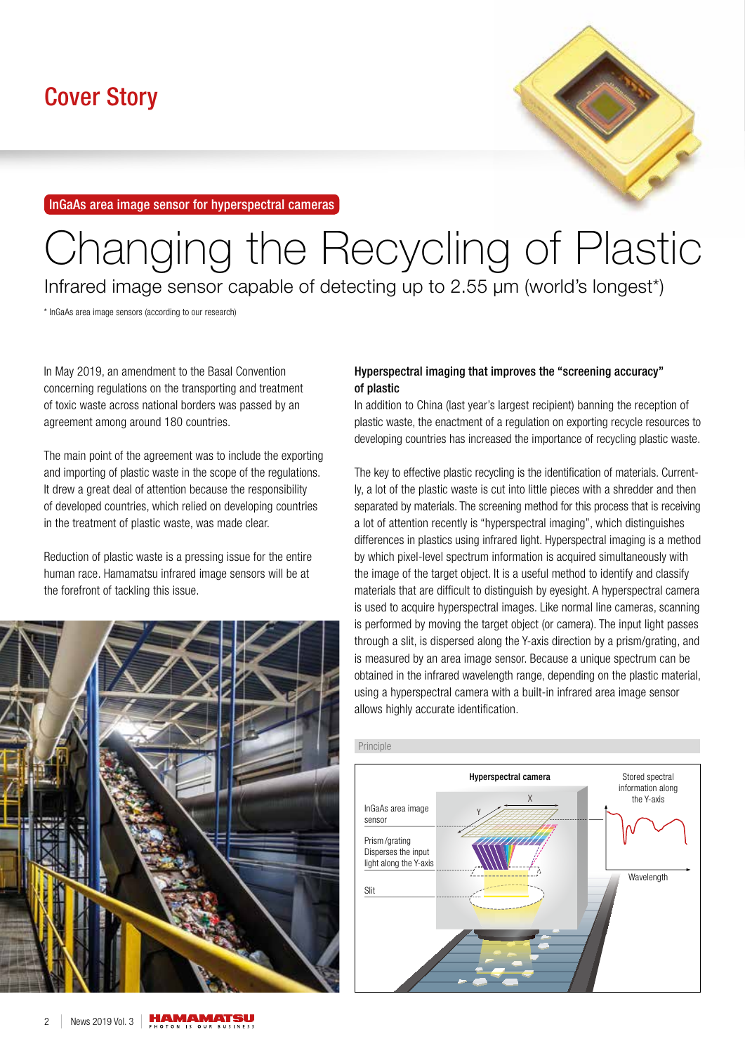InGaAs area image sensor for hyperspectral cameras



# Changing the Recycling of Plastic

Infrared image sensor capable of detecting up to 2.55 μm (world's longest\*)

\* InGaAs area image sensors (according to our research)

In May 2019, an amendment to the Basal Convention concerning regulations on the transporting and treatment of toxic waste across national borders was passed by an agreement among around 180 countries.

The main point of the agreement was to include the exporting and importing of plastic waste in the scope of the regulations. It drew a great deal of attention because the responsibility of developed countries, which relied on developing countries in the treatment of plastic waste, was made clear.

Reduction of plastic waste is a pressing issue for the entire human race. Hamamatsu infrared image sensors will be at the forefront of tackling this issue.



# Hyperspectral imaging that improves the "screening accuracy" of plastic

In addition to China (last year's largest recipient) banning the reception of plastic waste, the enactment of a regulation on exporting recycle resources to developing countries has increased the importance of recycling plastic waste.

The key to effective plastic recycling is the identification of materials. Currently, a lot of the plastic waste is cut into little pieces with a shredder and then separated by materials. The screening method for this process that is receiving a lot of attention recently is "hyperspectral imaging", which distinguishes differences in plastics using infrared light. Hyperspectral imaging is a method by which pixel-level spectrum information is acquired simultaneously with the image of the target object. It is a useful method to identify and classify materials that are difficult to distinguish by eyesight. A hyperspectral camera is used to acquire hyperspectral images. Like normal line cameras, scanning is performed by moving the target object (or camera). The input light passes through a slit, is dispersed along the Y-axis direction by a prism/grating, and is measured by an area image sensor. Because a unique spectrum can be obtained in the infrared wavelength range, depending on the plastic material, using a hyperspectral camera with a built-in infrared area image sensor allows highly accurate identification.